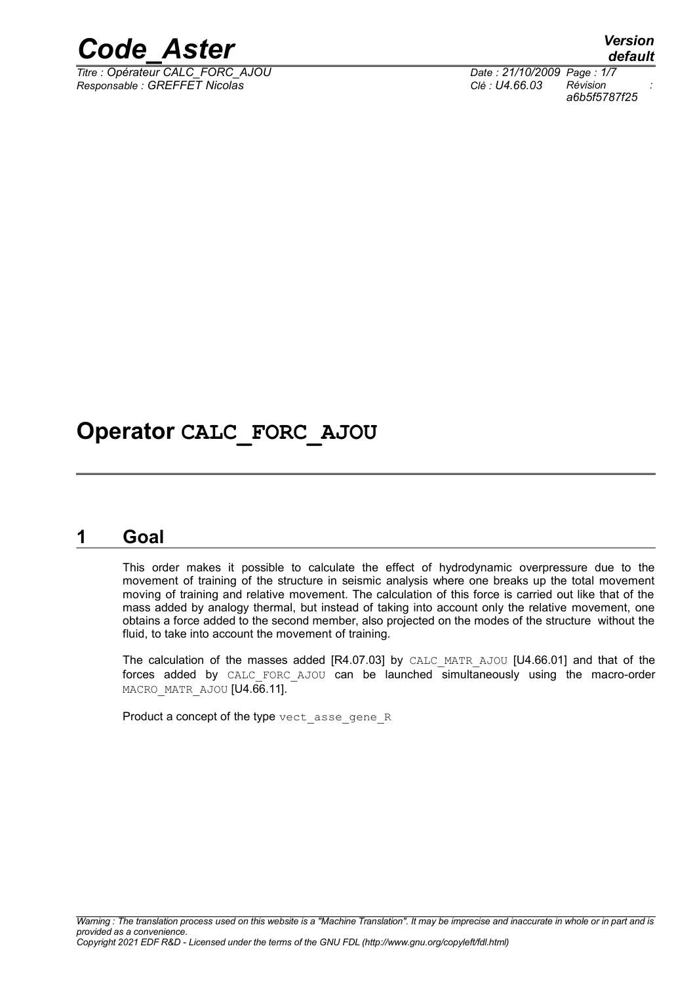

*Responsable : GREFFET Nicolas Clé : U4.66.03 Révision :*

*Titre : Opérateur CALC\_FORC\_AJOU Date : 21/10/2009 Page : 1/7 a6b5f5787f25*

### **Operator CALC\_FORC\_AJOU**

### **1 Goal**

This order makes it possible to calculate the effect of hydrodynamic overpressure due to the movement of training of the structure in seismic analysis where one breaks up the total movement moving of training and relative movement. The calculation of this force is carried out like that of the mass added by analogy thermal, but instead of taking into account only the relative movement, one obtains a force added to the second member, also projected on the modes of the structure without the fluid, to take into account the movement of training.

The calculation of the masses added  $[RA.07.03]$  by CALC MATR AJOU  $[U4.66.01]$  and that of the forces added by CALC FORC AJOU can be launched simultaneously using the macro-order MACRO\_MATR\_AJOU [U4.66.11].

Product a concept of the type vect asse gene R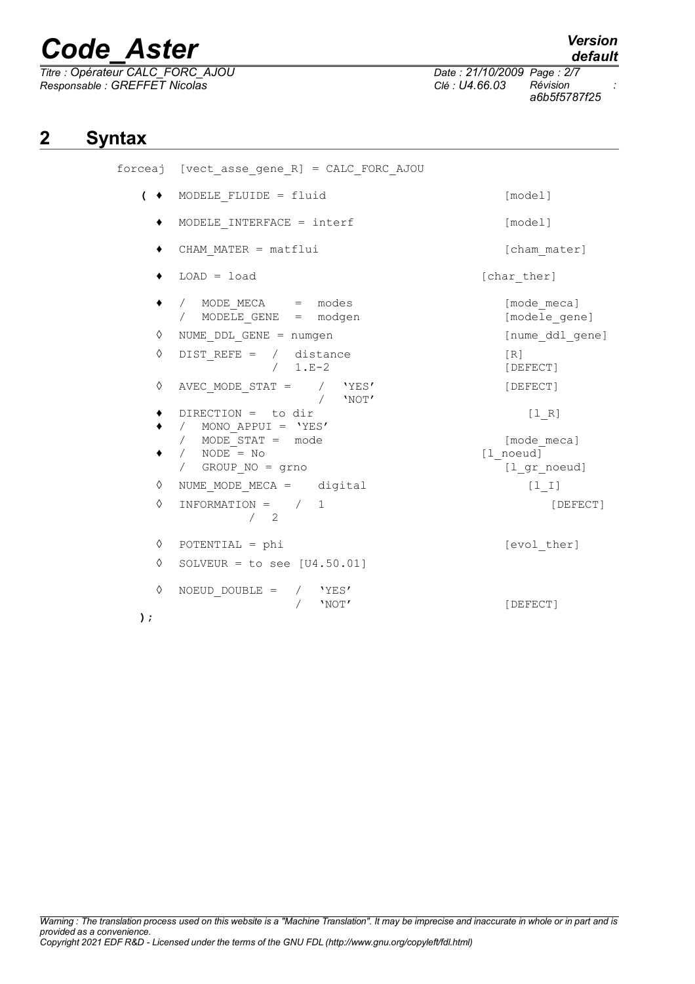*Titre : Opérateur CALC\_FORC\_AJOU Date : 21/10/2009 Page : 2/7 Responsable : GREFFET Nicolas Clé : U4.66.03 Révision :*

*default*

*a6b5f5787f25*

### **2 Syntax**

|         | forceaj [vect asse gene R] = CALC FORC AJOU                                          |                                          |
|---------|--------------------------------------------------------------------------------------|------------------------------------------|
|         | $\left( \bullet \right)$ MODELE FLUIDE = fluid                                       | [model]                                  |
|         | MODELE INTERFACE = $interf$                                                          | [model]                                  |
|         | CHAM MATER = matflui                                                                 | [cham mater]                             |
|         | $LOAD = load$                                                                        | [char ther]                              |
| ٠       | / MODE MECA = modes<br>/ MODELE_GENE = modgen                                        | [mode meca]<br>[modele gene]             |
| ♦       | NUME DDL GENE = numgen                                                               | [nume ddl gene]                          |
| ♦       | DIST REFE = $/$ distance<br>$/ 1.E-2$                                                | [R]<br>[DEFECT]                          |
| ♦       | AVEC MODE STAT = $/$ 'YES'<br>'NOT'                                                  | [DEFECT]                                 |
| ٠       | $DIRECTION = to dir$<br>/ MONO APPUI = $'YES'$                                       | $[1 R]$                                  |
| ٠       | / MODE STAT = mode<br>/ $NODE = No$<br>/ GROUP NO = grno                             | [mode meca]<br>[1 noeud]<br>[1 gr noeud] |
| ♦       | NUME MODE MECA = digital                                                             | $[1  I]$                                 |
| ♦       | INFORMATION = $/ 1$<br>$\begin{array}{cc} \begin{array}{cc} \end{array} \end{array}$ | [DEFECT]                                 |
| ♦       | $POTENTIAL = phi$                                                                    | [evol ther]                              |
| ♦       | SOLVEUR = to see $[U4.50.01]$                                                        |                                          |
| ♦<br>); | NOEUD DOUBLE = $/$ 'YES'<br>'NOT'                                                    | [DEFECT]                                 |
|         |                                                                                      |                                          |

*Warning : The translation process used on this website is a "Machine Translation". It may be imprecise and inaccurate in whole or in part and is provided as a convenience. Copyright 2021 EDF R&D - Licensed under the terms of the GNU FDL (http://www.gnu.org/copyleft/fdl.html)*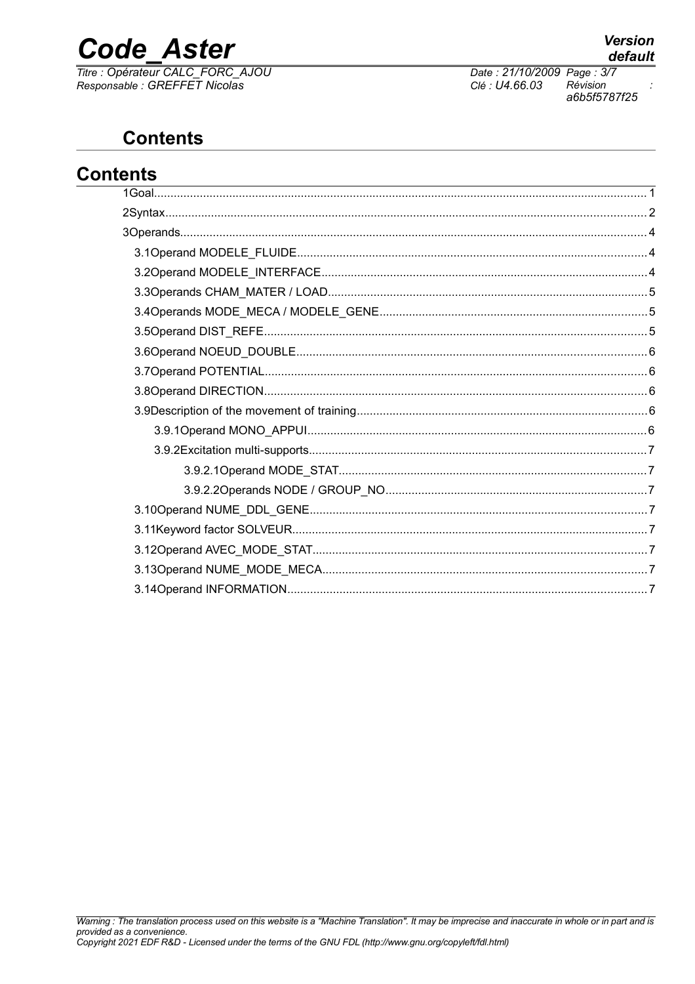# **Code Aster**

Titre : Opérateur CALC\_FORC\_AJOU<br>Responsable : GREFFET Nicolas

Date: 21/10/2009 Page: 3/7 Clé : U4.66.03 Révision a6b5f5787f25

### **Contents**

| <b>Contents</b><br>the control of the control of the control of the control of the control of the control of the control of the control of the control of the control of the control of the control of the control of the control of the control |  |  |
|--------------------------------------------------------------------------------------------------------------------------------------------------------------------------------------------------------------------------------------------------|--|--|
|                                                                                                                                                                                                                                                  |  |  |
|                                                                                                                                                                                                                                                  |  |  |
|                                                                                                                                                                                                                                                  |  |  |
|                                                                                                                                                                                                                                                  |  |  |
|                                                                                                                                                                                                                                                  |  |  |
|                                                                                                                                                                                                                                                  |  |  |
|                                                                                                                                                                                                                                                  |  |  |
|                                                                                                                                                                                                                                                  |  |  |
|                                                                                                                                                                                                                                                  |  |  |
|                                                                                                                                                                                                                                                  |  |  |
|                                                                                                                                                                                                                                                  |  |  |
|                                                                                                                                                                                                                                                  |  |  |
|                                                                                                                                                                                                                                                  |  |  |
|                                                                                                                                                                                                                                                  |  |  |
|                                                                                                                                                                                                                                                  |  |  |
|                                                                                                                                                                                                                                                  |  |  |
|                                                                                                                                                                                                                                                  |  |  |
|                                                                                                                                                                                                                                                  |  |  |
|                                                                                                                                                                                                                                                  |  |  |
|                                                                                                                                                                                                                                                  |  |  |
|                                                                                                                                                                                                                                                  |  |  |
|                                                                                                                                                                                                                                                  |  |  |

 $\ddot{\cdot}$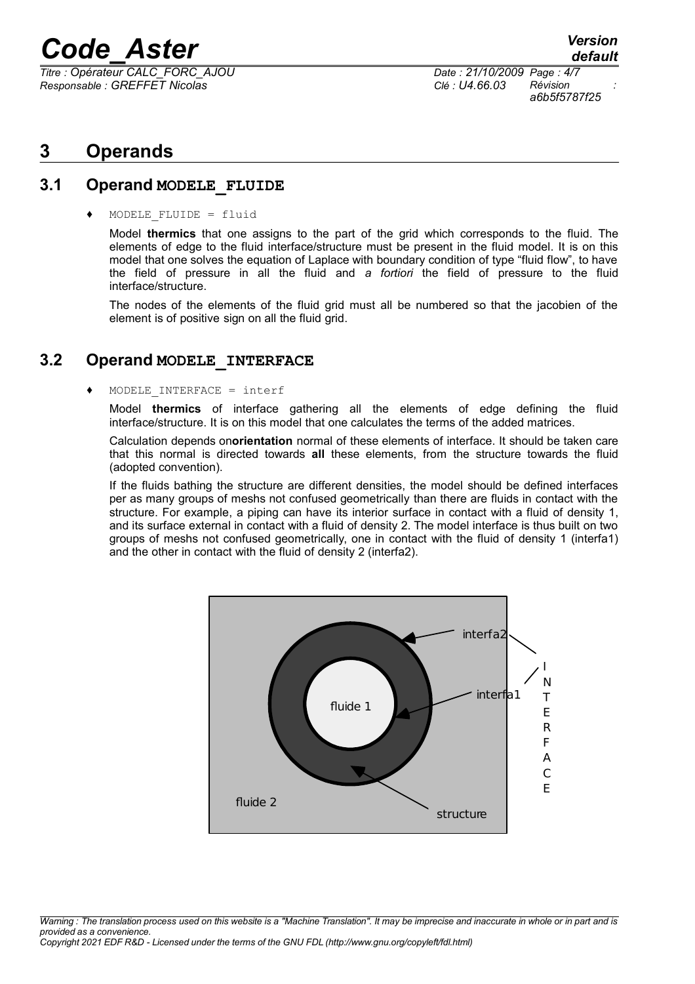*Titre : Opérateur CALC\_FORC\_AJOU Date : 21/10/2009 Page : 4/7 Responsable : GREFFET Nicolas Clé : U4.66.03 Révision :*

*a6b5f5787f25*

#### **3 Operands**

#### **3.1 Operand MODELE\_FLUIDE**

♦ MODELE\_FLUIDE = fluid

Model **thermics** that one assigns to the part of the grid which corresponds to the fluid. The elements of edge to the fluid interface/structure must be present in the fluid model. It is on this model that one solves the equation of Laplace with boundary condition of type "fluid flow", to have the field of pressure in all the fluid and *a fortiori* the field of pressure to the fluid interface/structure.

The nodes of the elements of the fluid grid must all be numbered so that the jacobien of the element is of positive sign on all the fluid grid.

#### **3.2 Operand MODELE\_INTERFACE**

#### $MODELE INTERFACE = interf$

Model **thermics** of interface gathering all the elements of edge defining the fluid interface/structure. It is on this model that one calculates the terms of the added matrices.

Calculation depends on**orientation** normal of these elements of interface. It should be taken care that this normal is directed towards **all** these elements, from the structure towards the fluid (adopted convention).

If the fluids bathing the structure are different densities, the model should be defined interfaces per as many groups of meshs not confused geometrically than there are fluids in contact with the structure. For example, a piping can have its interior surface in contact with a fluid of density 1, and its surface external in contact with a fluid of density 2. The model interface is thus built on two groups of meshs not confused geometrically, one in contact with the fluid of density 1 (interfa1) and the other in contact with the fluid of density 2 (interfa2).

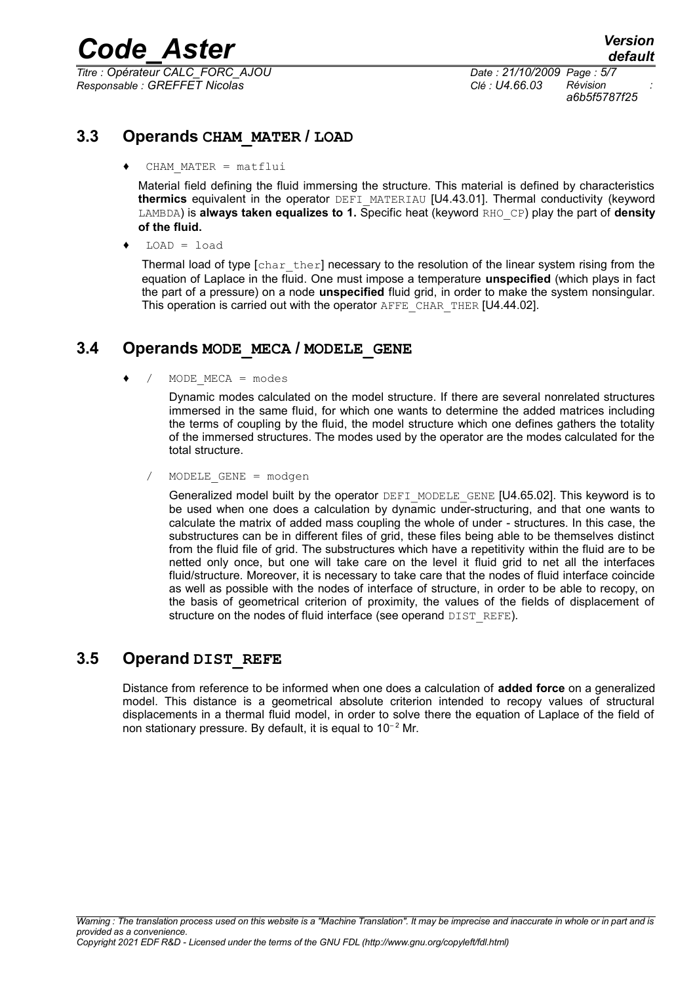*Titre : Opérateur CALC\_FORC\_AJOU Date : 21/10/2009 Page : 5/7 Responsable : GREFFET Nicolas Clé : U4.66.03 Révision :*

*a6b5f5787f25*

#### **3.3 Operands CHAM\_MATER / LOAD**

 $CHAM$   $MATER$  =  $matflui$ 

Material field defining the fluid immersing the structure. This material is defined by characteristics **thermics** equivalent in the operator DEFI\_MATERIAU [U4.43.01]. Thermal conductivity (keyword LAMBDA) is **always taken equalizes to 1.** Specific heat (keyword RHO\_CP) play the part of **density of the fluid.**

 $LOAD = load$ 

Thermal load of type  $\lceil \text{char}\rceil$  there  $\lceil \text{recessary} \rceil$  to the resolution of the linear system rising from the equation of Laplace in the fluid. One must impose a temperature **unspecified** (which plays in fact the part of a pressure) on a node **unspecified** fluid grid, in order to make the system nonsingular. This operation is carried out with the operator AFFE\_CHAR\_THER [U4.44.02].

#### **3.4 Operands MODE\_MECA / MODELE\_GENE**

 $/$  MODE MECA = modes

Dynamic modes calculated on the model structure. If there are several nonrelated structures immersed in the same fluid, for which one wants to determine the added matrices including the terms of coupling by the fluid, the model structure which one defines gathers the totality of the immersed structures. The modes used by the operator are the modes calculated for the total structure.

/ MODELE\_GENE = modgen

Generalized model built by the operator DEFI\_MODELE\_GENE [U4.65.02]. This keyword is to be used when one does a calculation by dynamic under-structuring, and that one wants to calculate the matrix of added mass coupling the whole of under - structures. In this case, the substructures can be in different files of grid, these files being able to be themselves distinct from the fluid file of grid. The substructures which have a repetitivity within the fluid are to be netted only once, but one will take care on the level it fluid grid to net all the interfaces fluid/structure. Moreover, it is necessary to take care that the nodes of fluid interface coincide as well as possible with the nodes of interface of structure, in order to be able to recopy, on the basis of geometrical criterion of proximity, the values of the fields of displacement of structure on the nodes of fluid interface (see operand DIST REFE).

#### **3.5 Operand DIST\_REFE**

Distance from reference to be informed when one does a calculation of **added force** on a generalized model. This distance is a geometrical absolute criterion intended to recopy values of structural displacements in a thermal fluid model, in order to solve there the equation of Laplace of the field of non stationary pressure. By default, it is equal to  $10^{-2}$  Mr.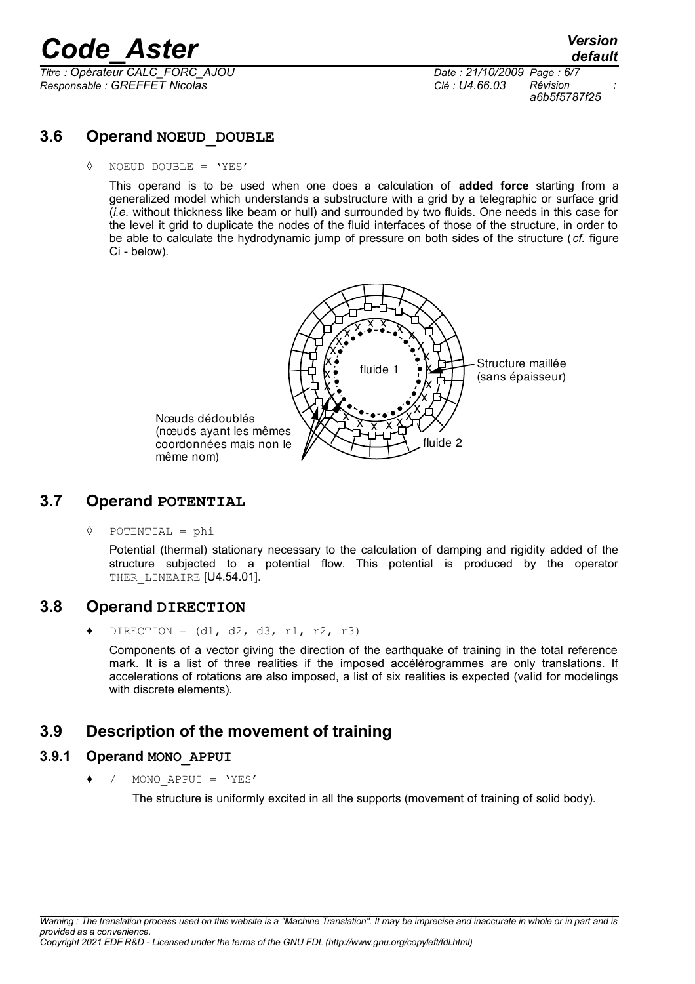*Titre : Opérateur CALC\_FORC\_AJOU Date : 21/10/2009 Page : 6/7 Responsable : GREFFET Nicolas Clé : U4.66.03 Révision :*

*a6b5f5787f25*

#### **3.6 Operand NOEUD\_DOUBLE**

◊ NOEUD\_DOUBLE = 'YES'

This operand is to be used when one does a calculation of **added force** starting from a generalized model which understands a substructure with a grid by a telegraphic or surface grid (*i.e.* without thickness like beam or hull) and surrounded by two fluids. One needs in this case for the level it grid to duplicate the nodes of the fluid interfaces of those of the structure, in order to be able to calculate the hydrodynamic jump of pressure on both sides of the structure ( *cf.* figure Ci - below).



#### **3.7 Operand POTENTIAL**

◊ POTENTIAL = phi

Potential (thermal) stationary necessary to the calculation of damping and rigidity added of the structure subjected to a potential flow. This potential is produced by the operator THER LINEAIRE [U4.54.01].

#### **3.8 Operand DIRECTION**

DIRECTION =  $(d1, d2, d3, r1, r2, r3)$ 

Components of a vector giving the direction of the earthquake of training in the total reference mark. It is a list of three realities if the imposed accélérogrammes are only translations. If accelerations of rotations are also imposed, a list of six realities is expected (valid for modelings with discrete elements).

#### **3.9 Description of the movement of training**

#### **3.9.1 Operand MONO\_APPUI**

/ MONO APPUI = 'YES'

The structure is uniformly excited in all the supports (movement of training of solid body).